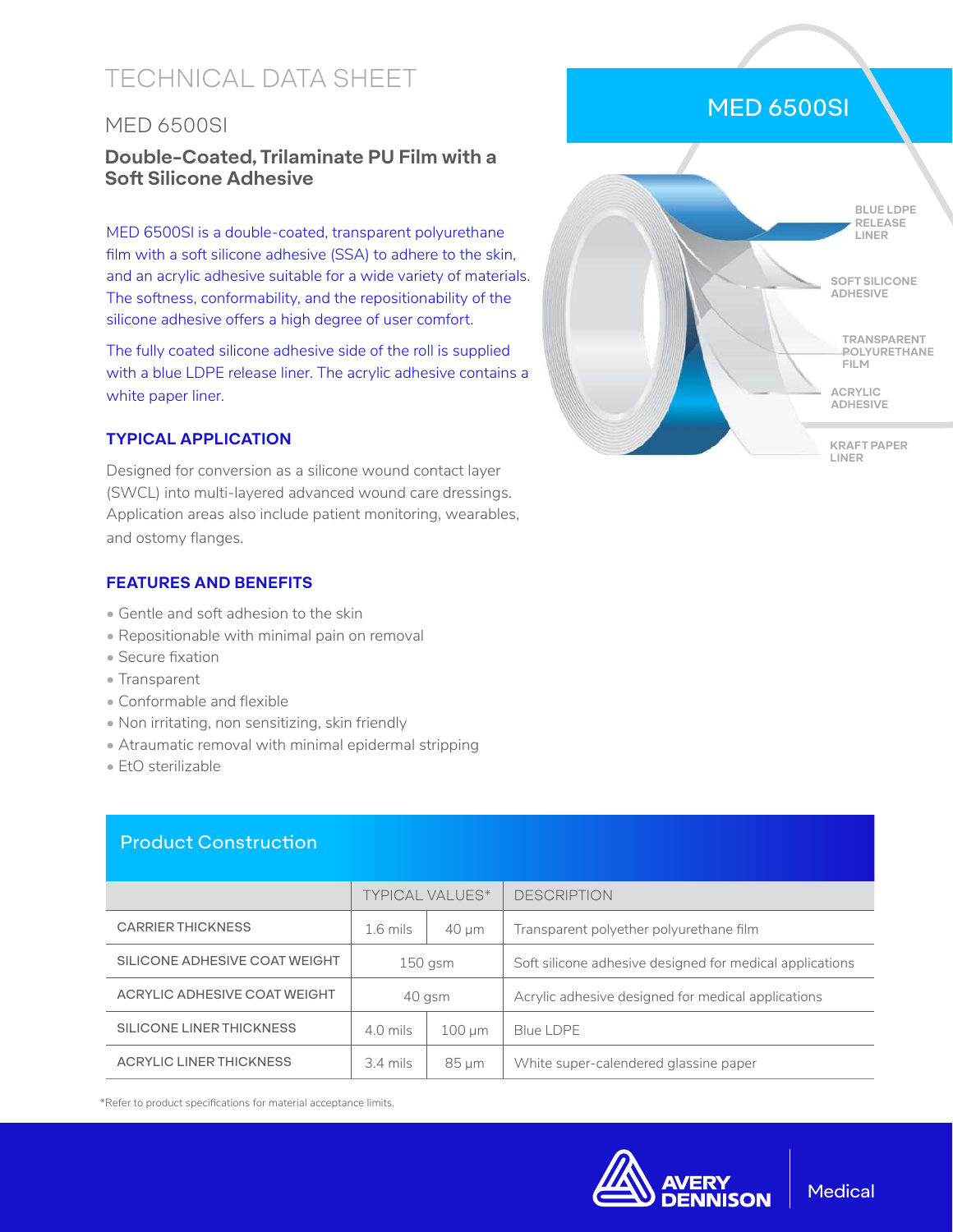# TECHNICAL DATA SHEET

# MED 6500SI

# **Double-Coated, Trilaminate PU Film with a Soft Silicone Adhesive**

MED 6500SI is a double-coated, transparent polyurethane film with a soft silicone adhesive (SSA) to adhere to the skin, and an acrylic adhesive suitable for a wide variety of materials. The softness, conformability, and the repositionability of the silicone adhesive offers a high degree of user comfort.

The fully coated silicone adhesive side of the roll is supplied with a blue LDPE release liner. The acrylic adhesive contains a white paper liner.

#### **TYPICAL APPLICATION**

Designed for conversion as a silicone wound contact layer (SWCL) into multi-layered advanced wound care dressings. Application areas also include patient monitoring, wearables, and ostomy flanges.

#### **FEATURES AND BENEFITS**

- Gentle and soft adhesion to the skin
- Repositionable with minimal pain on removal
- Secure fixation
- Transparent
- Conformable and flexible
- Non irritating, non sensitizing, skin friendly
- Atraumatic removal with minimal epidermal stripping
- EtO sterilizable

#### Product Construction

|                                | <b>TYPICAL VALUES*</b> |             | <b>DESCRIPTION</b>                                       |
|--------------------------------|------------------------|-------------|----------------------------------------------------------|
| <b>CARRIER THICKNESS</b>       | $1.6$ mils             | $40 \mu m$  | Transparent polyether polyurethane film                  |
| SILICONE ADHESIVE COAT WEIGHT  | $150$ gsm              |             | Soft silicone adhesive designed for medical applications |
| ACRYLIC ADHESIVE COAT WEIGHT   | 40 gsm                 |             | Acrylic adhesive designed for medical applications       |
| SILICONE LINER THICKNESS       | $4.0$ mils             | $100 \mu m$ | Blue LDPE                                                |
| <b>ACRYLIC LINER THICKNESS</b> | $3.4 \text{ miles}$    | $85 \mu m$  | White super-calendered glassine paper                    |

\*Refer to product specifications for material acceptance limits.